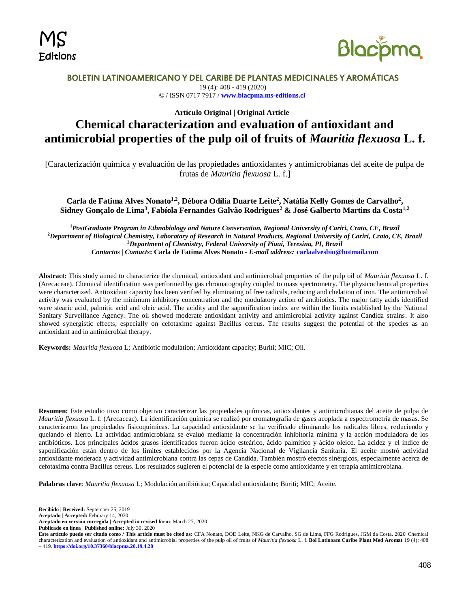



# BOLETIN LATINOAMERICANO Y DEL CARIBE DE PLANTAS MEDICINALES Y AROMÁTICAS

19 (4): 408 - 419 (2020) © / ISSN 0717 7917 / **[www.blacpma.ms-editions.cl](http://www.blacpma.ms-editions.cl/)**

**Artículo Original | Original Article**

# **Chemical characterization and evaluation of antioxidant and antimicrobial properties of the pulp oil of fruits of** *Mauritia flexuosa* **L. f.**

[Caracterización química y evaluación de las propiedades antioxidantes y antimicrobianas del aceite de pulpa de frutas de *Mauritia flexuosa* L. f.]

**Carla de Fatima Alves Nonato1,2, Débora Odília Duarte Leite<sup>2</sup> , Natália Kelly Gomes de Carvalho<sup>2</sup> , Sidney Gonçalo de Lima<sup>3</sup> , Fabíola Fernandes Galvão Rodrigues<sup>2</sup> & José Galberto Martins da Costa1,2**

*PostGraduate Program in Ethnobiology and Nature Conservation, Regional University of Cariri, Crato, CE, Brazil Department of Biological Chemistry, Laboratory of Research in Natural Products, Regional University of Cariri, Crato, CE, Brazil Department of Chemistry, Federal University of Piauí, Teresina, PI, Brazil Contactos | Contacts***: Carla de Fatima Alves Nonato** *- E-mail address:* **[carlaalvesbio@hotmail.com](mailto:carlaalvesbio@hotmail.com)**

**Abstract:** This study aimed to characterize the chemical, antioxidant and antimicrobial properties of the pulp oil of *Mauritia flexuosa* L. f. (Arecaceae). Chemical identification was performed by gas chromatography coupled to mass spectrometry. The physicochemical properties were characterized. Antioxidant capacity has been verified by eliminating of free radicals, reducing and chelation of iron. The antimicrobial activity was evaluated by the minimum inhibitory concentration and the modulatory action of antibiotics. The major fatty acids identified were stearic acid, palmitic acid and oleic acid. The acidity and the saponification index are within the limits established by the National Sanitary Surveillance Agency. The oil showed moderate antioxidant activity and antimicrobial activity against Candida strains. It also showed synergistic effects, especially on cefotaxime against Bacillus cereus. The results suggest the potential of the species as an antioxidant and in antimicrobial therapy.

**Keywords:** *Mauritia flexuosa* L; Antibiotic modulation; Antioxidant capacity; Buriti; MIC; Oil.

**Resumen:** Este estudio tuvo como objetivo caracterizar las propiedades químicas, antioxidantes y antimicrobianas del aceite de pulpa de *Mauritia flexuosa* L. f. (Arecaceae). La identificación química se realizó por cromatografía de gases acoplada a espectrometría de masas. Se caracterizaron las propiedades fisicoquímicas. La capacidad antioxidante se ha verificado eliminando los radicales libres, reduciendo y quelando el hierro. La actividad antimicrobiana se evaluó mediante la concentración inhibitoria mínima y la acción moduladora de los antibióticos. Los principales ácidos grasos identificados fueron ácido esteárico, ácido palmítico y ácido oleico. La acidez y el índice de saponificación están dentro de los límites establecidos por la Agencia Nacional de Vigilancia Sanitaria. El aceite mostró actividad antioxidante moderada y actividad antimicrobiana contra las cepas de Candida. También mostró efectos sinérgicos, especialmente acerca de cefotaxima contra Bacillus cereus. Los resultados sugieren el potencial de la especie como antioxidante y en terapia antimicrobiana.

**Palabras clave**: *Mauritia flexuosa* L; Modulación antibiótica; Capacidad antioxidante; Buriti; MIC; Aceite.

**Recibido | Received:** September 25, 2019 **Aceptado | Accepted:** February 14, 2020 **Aceptado en versión corregida | Accepted in revised form**: March 27, 2020 **Publicado en línea | Published online:** July 30, 2020 **Este artículo puede ser citado como / This article must be cited as:** CFA Nonato, DOD Leite, NKG de Carvalho, SG de Lima, FFG Rodrigues, JGM da Costa. 2020 Chemical characterization and evaluation of antioxidant and antimicrobial properties of the pulp oil of fruits of *Mauritia flexuosa* L. f. **Bol Latinoam Caribe Plant Med Aromat** 19 (4): 408 – 419. **<https://doi.org/10.37360/blacpma.20.19.4.28>**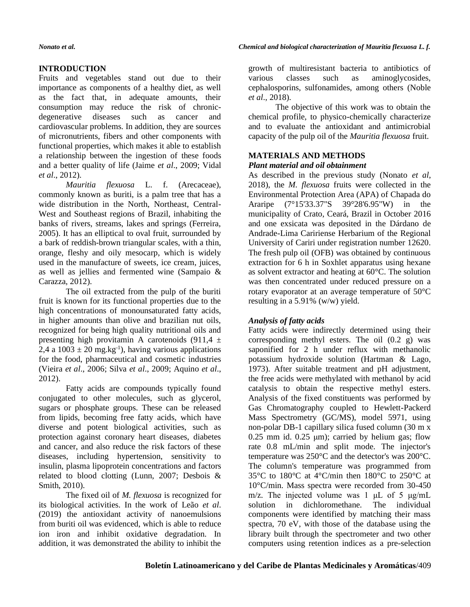# **INTRODUCTION**

Fruits and vegetables stand out due to their importance as components of a healthy diet, as well as the fact that, in adequate amounts, their consumption may reduce the risk of chronicdegenerative diseases such as cancer and cardiovascular problems. In addition, they are sources of micronutrients, fibers and other components with functional properties, which makes it able to establish a relationship between the ingestion of these foods and a better quality of life (Jaime *et al*., 2009; Vidal *et al*., 2012).

*Mauritia flexuosa* L. f. (Arecaceae), commonly known as buriti, is a palm tree that has a wide distribution in the North, Northeast, Central-West and Southeast regions of Brazil, inhabiting the banks of rivers, streams, lakes and springs (Ferreira, 2005). It has an elliptical to oval fruit, surrounded by a bark of reddish-brown triangular scales, with a thin, orange, fleshy and oily mesocarp, which is widely used in the manufacture of sweets, ice cream, juices, as well as jellies and fermented wine (Sampaio & Carazza, 2012).

The oil extracted from the pulp of the buriti fruit is known for its functional properties due to the high concentrations of monounsaturated fatty acids, in higher amounts than olive and brazilian nut oils, recognized for being high quality nutritional oils and presenting high provitamin A carotenoids  $(911.4 \pm$ 2,4 a  $1003 \pm 20$  mg.kg<sup>-1</sup>), having various applications for the food, pharmaceutical and cosmetic industries (Vieira *et al*., 2006; Silva *et al*., 2009; Aquino *et al*., 2012).

Fatty acids are compounds typically found conjugated to other molecules, such as glycerol, sugars or phosphate groups. These can be released from lipids, becoming free fatty acids, which have diverse and potent biological activities, such as protection against coronary heart diseases, diabetes and cancer, and also reduce the risk factors of these diseases, including hypertension, sensitivity to insulin, plasma lipoprotein concentrations and factors related to blood clotting (Lunn, 2007; Desbois & Smith, 2010).

The fixed oil of *M. flexuosa* is recognized for its biological activities. In the work of Leão *et al*. (2019) the antioxidant activity of nanoemulsions from buriti oil was evidenced, which is able to reduce ion iron and inhibit oxidative degradation. In addition, it was demonstrated the ability to inhibit the

growth of multiresistant bacteria to antibiotics of various classes such as aminoglycosides, cephalosporins, sulfonamides, among others (Noble *et al*., 2018).

The objective of this work was to obtain the chemical profile, to physico-chemically characterize and to evaluate the antioxidant and antimicrobial capacity of the pulp oil of the *Mauritia flexuosa* fruit.

# **MATERIALS AND METHODS**

# *Plant material and oil obtainment*

As described in the previous study (Nonato *et al*, 2018), the *M. flexuosa* fruits were collected in the Environmental Protection Area (APA) of Chapada do Araripe (7°15'33.37"S 39°28'6.95"W) in the municipality of Crato, Ceará, Brazil in October 2016 and one exsicata was deposited in the Dárdano de Andrade-Lima Caririense Herbarium of the Regional University of Cariri under registration number 12620. The fresh pulp oil (OFB) was obtained by continuous extraction for 6 h in Soxhlet apparatus using hexane as solvent extractor and heating at 60°C. The solution was then concentrated under reduced pressure on a rotary evaporator at an average temperature of 50°C resulting in a 5.91% (w/w) yield.

# *Analysis of fatty acids*

Fatty acids were indirectly determined using their corresponding methyl esters. The oil (0.2 g) was saponified for 2 h under reflux with methanolic potassium hydroxide solution (Hartman & Lago, 1973). After suitable treatment and pH adjustment, the free acids were methylated with methanol by acid catalysis to obtain the respective methyl esters. Analysis of the fixed constituents was performed by Gas Chromatography coupled to Hewlett-Packerd Mass Spectrometry (GC/MS), model 5971, using non-polar DB-1 capillary silica fused column (30 m x  $0.25$  mm id.  $0.25$  μm); carried by helium gas; flow rate 0.8 mL/min and split mode. The injector's temperature was 250°C and the detector's was 200°C. The column's temperature was programmed from 35 $\rm{°C}$  to 180 $\rm{°C}$  at 4 $\rm{°C/min}$  then 180 $\rm{°C}$  to 250 $\rm{°C}$  at 10°C/min. Mass spectra were recorded from 30-450 m/z. The injected volume was 1 μL of 5 μg/mL solution in dichloromethane. The individual components were identified by matching their mass spectra, 70 eV, with those of the database using the library built through the spectrometer and two other computers using retention indices as a pre-selection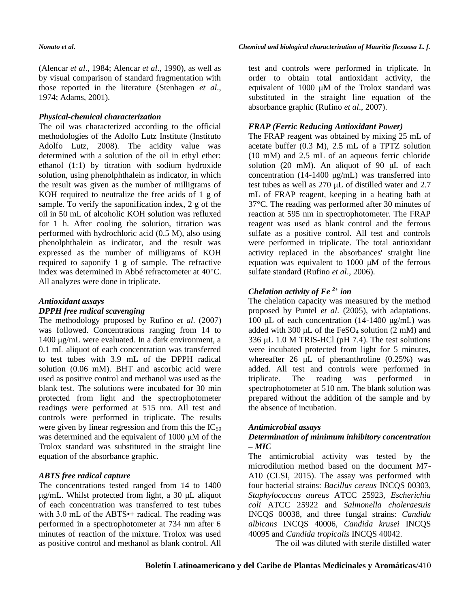(Alencar *et al*., 1984; Alencar *et al*., 1990), as well as by visual comparison of standard fragmentation with those reported in the literature (Stenhagen *et al*., 1974; Adams, 2001).

## *Physical-chemical characterization*

The oil was characterized according to the official methodologies of the Adolfo Lutz Institute (Instituto Adolfo Lutz, 2008). The acidity value was determined with a solution of the oil in ethyl ether: ethanol (1:1) by titration with sodium hydroxide solution, using phenolphthalein as indicator, in which the result was given as the number of milligrams of KOH required to neutralize the free acids of 1 g of sample. To verify the saponification index, 2 g of the oil in 50 mL of alcoholic KOH solution was refluxed for 1 h. After cooling the solution, titration was performed with hydrochloric acid (0.5 M), also using phenolphthalein as indicator, and the result was expressed as the number of milligrams of KOH required to saponify 1 g of sample. The refractive index was determined in Abbé refractometer at 40°C. All analyzes were done in triplicate.

# *Antioxidant assays*

# *DPPH free radical scavenging*

The methodology proposed by Rufino *et al*. (2007) was followed. Concentrations ranging from 14 to 1400 μg/mL were evaluated. In a dark environment, a 0.1 mL aliquot of each concentration was transferred to test tubes with 3.9 mL of the DPPH radical solution (0.06 mM). BHT and ascorbic acid were used as positive control and methanol was used as the blank test. The solutions were incubated for 30 min protected from light and the spectrophotometer readings were performed at 515 nm. All test and controls were performed in triplicate. The results were given by linear regression and from this the  $IC_{50}$ was determined and the equivalent of 1000 μM of the Trolox standard was substituted in the straight line equation of the absorbance graphic.

# *ABTS free radical capture*

The concentrations tested ranged from 14 to 1400 μg/mL. Whilst protected from light, a 30 μL aliquot of each concentration was transferred to test tubes with 3.0 mL of the ABTS<sup>++</sup> radical. The reading was performed in a spectrophotometer at 734 nm after 6 minutes of reaction of the mixture. Trolox was used as positive control and methanol as blank control. All

test and controls were performed in triplicate. In order to obtain total antioxidant activity, the equivalent of 1000 μM of the Trolox standard was substituted in the straight line equation of the absorbance graphic (Rufino *et al*., 2007).

# *FRAP (Ferric Reducing Antioxidant Power)*

The FRAP reagent was obtained by mixing 25 mL of acetate buffer (0.3 M), 2.5 mL of a TPTZ solution (10 mM) and 2.5 mL of an aqueous ferric chloride solution (20 mM). An aliquot of 90 μL of each concentration (14-1400 μg/mL) was transferred into test tubes as well as 270 μL of distilled water and 2.7 mL of FRAP reagent, keeping in a heating bath at 37°C. The reading was performed after 30 minutes of reaction at 595 nm in spectrophotometer. The FRAP reagent was used as blank control and the ferrous sulfate as a positive control. All test and controls were performed in triplicate. The total antioxidant activity replaced in the absorbances' straight line equation was equivalent to 1000 μM of the ferrous sulfate standard (Rufino *et al*., 2006).

# *Chelation activity of Fe 2+ ion*

The chelation capacity was measured by the method proposed by Puntel *et al*. (2005), with adaptations. 100 μL of each concentration  $(14-1400 \text{ μg/mL})$  was added with 300  $\mu$ L of the FeSO<sub>4</sub> solution (2 mM) and 336  $\mu$ L 1.0 M TRIS-HCl (pH 7.4). The test solutions were incubated protected from light for 5 minutes, whereafter  $26 \mu L$  of phenanthroline  $(0.25\%)$  was added. All test and controls were performed in triplicate. The reading was performed in spectrophotometer at 510 nm. The blank solution was prepared without the addition of the sample and by the absence of incubation.

# *Antimicrobial assays*

# *Determination of minimum inhibitory concentration – MIC*

The antimicrobial activity was tested by the microdilution method based on the document M7- A10 (CLSI, 2015). The assay was performed with four bacterial strains: *Bacillus cereus* INCQS 00303, *Staphylococcus aureus* ATCC 25923, *Escherichia coli* ATCC 25922 and *Salmonella choleraesuis* INCQS 00038, and three fungal strains: *Candida albicans* INCQS 40006, *Candida krusei* INCQS 40095 and *Candida tropicalis* INCQS 40042.

The oil was diluted with sterile distilled water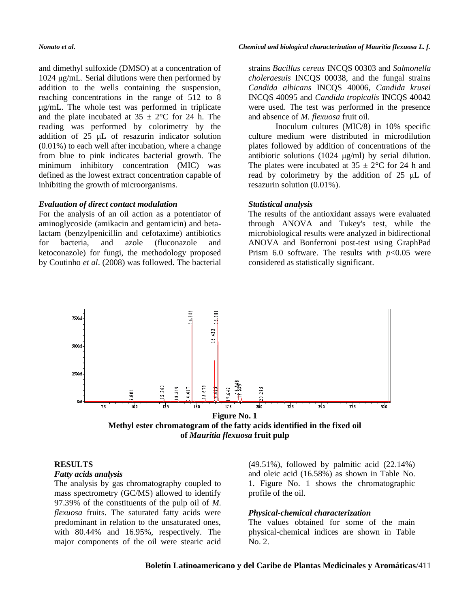and dimethyl sulfoxide (DMSO) at a concentration of 1024 μg/mL. Serial dilutions were then performed by addition to the wells containing the suspension, reaching concentrations in the range of 512 to 8 μg/mL. The whole test was performed in triplicate and the plate incubated at  $35 \pm 2$ °C for 24 h. The reading was performed by colorimetry by the addition of 25 μL of resazurin indicator solution (0.01%) to each well after incubation, where a change from blue to pink indicates bacterial growth. The minimum inhibitory concentration (MIC) was defined as the lowest extract concentration capable of inhibiting the growth of microorganisms.

#### *Evaluation of direct contact modulation*

For the analysis of an oil action as a potentiator of aminoglycoside (amikacin and gentamicin) and betalactam (benzylpenicillin and cefotaxime) antibiotics for bacteria, and azole (fluconazole and ketoconazole) for fungi, the methodology proposed by Coutinho *et al*. (2008) was followed. The bacterial strains *Bacillus cereus* INCQS 00303 and *Salmonella choleraesuis* INCQS 00038, and the fungal strains *Candida albicans* INCQS 40006, *Candida krusei* INCQS 40095 and *Candida tropicalis* INCQS 40042 were used. The test was performed in the presence and absence of *M. flexuosa* fruit oil.

Inoculum cultures (MIC/8) in 10% specific culture medium were distributed in microdilution plates followed by addition of concentrations of the antibiotic solutions (1024 μg/ml) by serial dilution. The plates were incubated at  $35 \pm 2$ °C for 24 h and read by colorimetry by the addition of 25 μL of resazurin solution (0.01%).

#### *Statistical analysis*

The results of the antioxidant assays were evaluated through ANOVA and Tukey's test, while the microbiological results were analyzed in bidirectional ANOVA and Bonferroni post-test using GraphPad Prism 6.0 software. The results with  $p<0.05$  were considered as statistically significant.



# **RESULTS**

#### *Fatty acids analysis*

The analysis by gas chromatography coupled to mass spectrometry (GC/MS) allowed to identify 97.39% of the constituents of the pulp oil of *M. flexuosa* fruits. The saturated fatty acids were predominant in relation to the unsaturated ones, with 80.44% and 16.95%, respectively. The major components of the oil were stearic acid  $(49.51\%)$ , followed by palmitic acid  $(22.14\%)$ and oleic acid (16.58%) as shown in Table No. 1. Figure No. 1 shows the chromatographic profile of the oil.

#### *Physical-chemical characterization*

The values obtained for some of the main physical-chemical indices are shown in Table No. 2.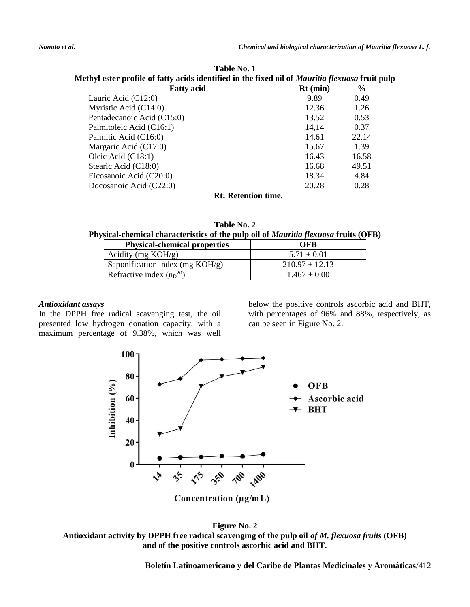| lethyl ester prome or latty actus identified in the fixed on or <i>maarual fiexuosa</i> fruit pui |            |       |
|---------------------------------------------------------------------------------------------------|------------|-------|
| <b>Fatty acid</b>                                                                                 | $Rt$ (min) | $\%$  |
| Lauric Acid $(C12:0)$                                                                             | 9.89       | 0.49  |
| Myristic Acid (C14:0)                                                                             | 12.36      | 1.26  |
| Pentadecanoic Acid (C15:0)                                                                        | 13.52      | 0.53  |
| Palmitoleic Acid (C16:1)                                                                          | 14,14      | 0.37  |
| Palmitic Acid (C16:0)                                                                             | 14.61      | 22.14 |
| Margaric Acid (C17:0)                                                                             | 15.67      | 1.39  |
| Oleic Acid (C18:1)                                                                                | 16.43      | 16.58 |
| Stearic Acid (C18:0)                                                                              | 16.68      | 49.51 |
| Eicosanoic Acid (C20:0)                                                                           | 18.34      | 4.84  |
| Docosanoic Acid $(C22:0)$                                                                         | 20.28      | 0.28  |
| _____                                                                                             |            |       |

**Table No. 1 Methyl ester profile of fatty acids identified in the fixed oil of** *Mauritia flexuosa* **fruit pulp**

**Rt: Retention time.**

| Table No. 2                                                                                |  |
|--------------------------------------------------------------------------------------------|--|
| Physical-chemical characteristics of the pulp oil of <i>Mauritia flexuosa</i> fruits (OFB) |  |

| <b>Physical-chemical properties</b> | <b>OFB</b>         |
|-------------------------------------|--------------------|
| Acidity (mg $KOH/g$ )               | $5.71 \pm 0.01$    |
| Saponification index (mg $KOH/g$ )  | $210.97 \pm 12.13$ |
| Refractive index $(np^{20})$        | $1.467 \pm 0.00$   |

# *Antioxidant assays*

In the DPPH free radical scavenging test, the oil presented low hydrogen donation capacity, with a maximum percentage of 9.38%, which was well

below the positive controls ascorbic acid and BHT, with percentages of 96% and 88%, respectively, as can be seen in Figure No. 2.



**Figure No. 2 Antioxidant activity by DPPH free radical scavenging of the pulp oil** *of M. flexuosa fruits* **(OFB) and of the positive controls ascorbic acid and BHT.**

**Boletín Latinoamericano y del Caribe de Plantas Medicinales y Aromáticas**/412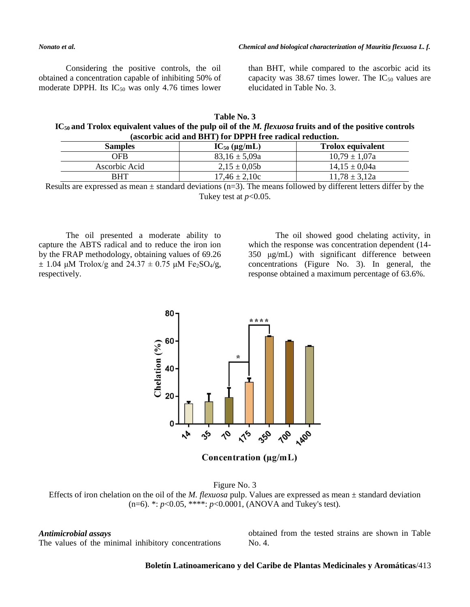Considering the positive controls, the oil obtained a concentration capable of inhibiting 50% of moderate DPPH. Its  $IC_{50}$  was only 4.76 times lower

than BHT, while compared to the ascorbic acid its capacity was 38.67 times lower. The  $IC_{50}$  values are elucidated in Table No. 3.

| Table No. 3                                                                                                          |  |  |
|----------------------------------------------------------------------------------------------------------------------|--|--|
| $IC_{50}$ and Trolox equivalent values of the pulp oil of the <i>M. flexuosa</i> fruits and of the positive controls |  |  |
| (ascorbic acid and BHT) for DPPH free radical reduction.                                                             |  |  |

| <b>Samples</b> | $IC_{50}$ (µg/mL) | <b>Trolox equivalent</b> |
|----------------|-------------------|--------------------------|
| OFB            | $83.16 \pm 5.09a$ | $10.79 \pm 1.07a$        |
| Ascorbic Acid  | $2.15 \pm 0.05b$  | $14.15 \pm 0.04a$        |
| RHT            | $17.46 \pm 2.10c$ | $11,78 \pm 3,12a$        |

Results are expressed as mean  $\pm$  standard deviations (n=3). The means followed by different letters differ by the Tukey test at *p*<0.05.

The oil presented a moderate ability to capture the ABTS radical and to reduce the iron ion by the FRAP methodology, obtaining values of 69.26  $\pm$  1.04 μM Trolox/g and 24.37  $\pm$  0.75 μM Fe<sub>2</sub>SO<sub>4</sub>/g, respectively.

The oil showed good chelating activity, in which the response was concentration dependent (14- 350 μg/mL) with significant difference between concentrations (Figure No. 3). In general, the response obtained a maximum percentage of 63.6%.



Figure No. 3 Effects of iron chelation on the oil of the *M. flexuosa* pulp. Values are expressed as mean ± standard deviation (n=6). \*: *p*<0.05, \*\*\*\*: *p*<0.0001, (ANOVA and Tukey's test).

#### *Antimicrobial assays*

The values of the minimal inhibitory concentrations

obtained from the tested strains are shown in Table No. 4.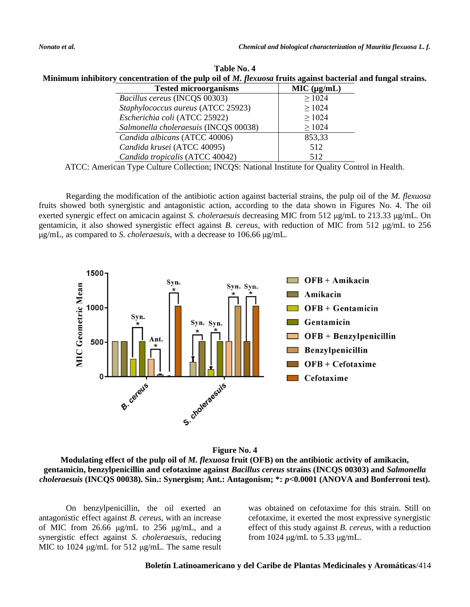| Table No. 4                                                                                                  |  |  |  |
|--------------------------------------------------------------------------------------------------------------|--|--|--|
| Minimum inhibitory concentration of the pulp oil of M. flexuosa fruits against bacterial and fungal strains. |  |  |  |

| <b>Tested microorganisms</b>          | MIC (µg/mL) |
|---------------------------------------|-------------|
| Bacillus cereus (INCQS 00303)         | $\geq 1024$ |
| Staphylococcus aureus (ATCC 25923)    | $\geq 1024$ |
| Escherichia coli (ATCC 25922)         | $\geq 1024$ |
| Salmonella choleraesuis (INCQS 00038) | $\geq 1024$ |
| Candida albicans (ATCC 40006)         | 853,33      |
| Candida krusei (ATCC 40095)           | 512         |
| Candida tropicalis (ATCC 40042)       | 512         |

ATCC: American Type Culture Collection; INCQS: National Institute for Quality Control in Health.

Regarding the modification of the antibiotic action against bacterial strains, the pulp oil of the *M. flexuosa* fruits showed both synergistic and antagonistic action, according to the data shown in Figures No. 4. The oil exerted synergic effect on amicacin against *S. choleraesuis* decreasing MIC from 512 μg/mL to 213.33 μg/mL. On gentamicin, it also showed synergistic effect against *B. cereus*, with reduction of MIC from 512 μg/mL to 256 μg/mL, as compared to *S. choleraesuis*, with a decrease to 106.66 μg/mL.





**Modulating effect of the pulp oil of** *M. flexuosa* **fruit (OFB) on the antibiotic activity of amikacin, gentamicin, benzylpenicillin and cefotaxime against** *Bacillus cereus* **strains (INCQS 00303) and** *Salmonella choleraesuis* **(INCQS 00038). Sin.: Synergism; Ant.: Antagonism; \*:** *p***<0.0001 (ANOVA and Bonferroni test).**

On benzylpenicillin, the oil exerted an antagonistic effect against *B. cereus*, with an increase of MIC from 26.66 μg/mL to 256 μg/mL, and a synergistic effect against *S. choleraesuis*, reducing MIC to 1024 μg/mL for 512 μg/mL. The same result

was obtained on cefotaxime for this strain. Still on cefotaxime, it exerted the most expressive synergistic effect of this study against *B. cereus*, with a reduction from 1024 μg/mL to 5.33 μg/mL.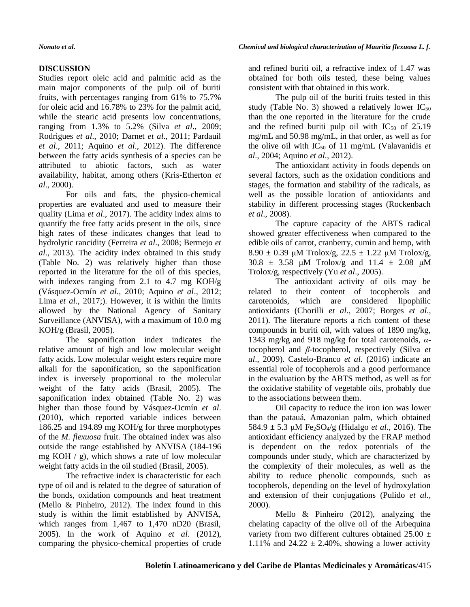# **DISCUSSION**

Studies report oleic acid and palmitic acid as the main major components of the pulp oil of buriti fruits, with percentages ranging from 61% to 75.7% for oleic acid and 16.78% to 23% for the palmit acid, while the stearic acid presents low concentrations, ranging from 1.3% to 5.2% (Silva *et al*., 2009; Rodrigues *et al*., 2010; Darnet *et al*., 2011; Pardauil *et al*., 2011; Aquino *et al*., 2012). The difference between the fatty acids synthesis of a species can be attributed to abiotic factors, such as water availability, habitat, among others (Kris-Etherton *et al*., 2000).

For oils and fats, the physico-chemical properties are evaluated and used to measure their quality (Lima *et al*., 2017). The acidity index aims to quantify the free fatty acids present in the oils, since high rates of these indicates changes that lead to hydrolytic rancidity (Ferreira *et al*., 2008; Bermejo *et al*., 2013). The acidity index obtained in this study (Table No. 2) was relatively higher than those reported in the literature for the oil of this species, with indexes ranging from 2.1 to 4.7 mg KOH/g (Vásquez-Ocmín *et al*., 2010; Aquino *et al*., 2012; Lima *et al*., 2017;). However, it is within the limits allowed by the National Agency of Sanitary Surveillance (ANVISA), with a maximum of 10.0 mg KOH/g (Brasil, 2005).

The saponification index indicates the relative amount of high and low molecular weight fatty acids. Low molecular weight esters require more alkali for the saponification, so the saponification index is inversely proportional to the molecular weight of the fatty acids (Brasil, 2005). The saponification index obtained (Table No. 2) was higher than those found by Vásquez-Ocmín *et al*. (2010), which reported variable indices between 186.25 and 194.89 mg KOH/g for three morphotypes of the *M. flexuosa* fruit. The obtained index was also outside the range established by ANVISA (184-196 mg KOH  $/$  g), which shows a rate of low molecular weight fatty acids in the oil studied (Brasil, 2005).

The refractive index is characteristic for each type of oil and is related to the degree of saturation of the bonds, oxidation compounds and heat treatment (Mello & Pinheiro, 2012). The index found in this study is within the limit established by ANVISA, which ranges from 1,467 to 1,470 nD20 (Brasil, 2005). In the work of Aquino *et al*. (2012), comparing the physico-chemical properties of crude

and refined buriti oil, a refractive index of 1.47 was obtained for both oils tested, these being values consistent with that obtained in this work.

The pulp oil of the buriti fruits tested in this study (Table No. 3) showed a relatively lower  $IC_{50}$ than the one reported in the literature for the crude and the refined buriti pulp oil with  $IC_{50}$  of 25.19 mg/mL and 50.98 mg/mL, in that order, as well as for the olive oil with  $IC_{50}$  of 11 mg/mL (Valavanidis *et al*., 2004; Aquino *et al*., 2012).

The antioxidant activity in foods depends on several factors, such as the oxidation conditions and stages, the formation and stability of the radicals, as well as the possible location of antioxidants and stability in different processing stages (Rockenbach *et al*., 2008).

The capture capacity of the ABTS radical showed greater effectiveness when compared to the edible oils of carrot, cranberry, cumin and hemp, with 8.90  $\pm$  0.39 μM Trolox/g, 22.5  $\pm$  1.22 μM Trolox/g, 30.8  $\pm$  3.58 μM Trolox/g and 11.4  $\pm$  2.08 μM Trolox/g, respectively (Yu *et al*., 2005).

The antioxidant activity of oils may be related to their content of tocopherols and carotenoids, which are considered lipophilic antioxidants (Chorilli *et al*., 2007; Borges *et al*., 2011). The literature reports a rich content of these compounds in buriti oil, with values of 1890 mg/kg, 1343 mg/kg and 918 mg/kg for total carotenoids, *α*tocopherol and *β*-tocopherol, respectively (Silva *et al*., 2009). Castelo-Branco *et al*. (2016) indicate an essential role of tocopherols and a good performance in the evaluation by the ABTS method, as well as for the oxidative stability of vegetable oils, probably due to the associations between them.

Oil capacity to reduce the iron ion was lower than the patauá, Amazonian palm, which obtained  $584.9 \pm 5.3 \mu M$  Fe<sub>2</sub>SO<sub>4</sub>/g (Hidalgo *et al.*, 2016). The antioxidant efficiency analyzed by the FRAP method is dependent on the redox potentials of the compounds under study, which are characterized by the complexity of their molecules, as well as the ability to reduce phenolic compounds, such as tocopherols, depending on the level of hydroxylation and extension of their conjugations (Pulido *et al*., 2000).

Mello & Pinheiro (2012), analyzing the chelating capacity of the olive oil of the Arbequina variety from two different cultures obtained 25.00  $\pm$ 1.11% and  $24.22 \pm 2.40$ %, showing a lower activity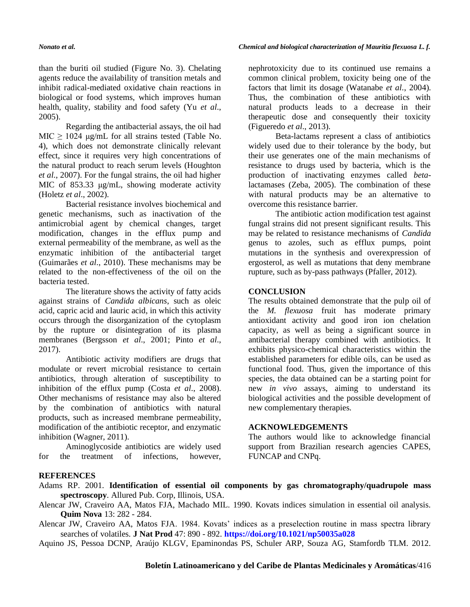than the buriti oil studied (Figure No. 3). Chelating agents reduce the availability of transition metals and inhibit radical-mediated oxidative chain reactions in biological or food systems, which improves human health, quality, stability and food safety (Yu *et al*., 2005).

Regarding the antibacterial assays, the oil had MIC  $\geq$  1024 μg/mL for all strains tested (Table No. 4), which does not demonstrate clinically relevant effect, since it requires very high concentrations of the natural product to reach serum levels (Houghton *et al*., 2007). For the fungal strains, the oil had higher MIC of 853.33 μg/mL, showing moderate activity (Holetz *et al*., 2002).

Bacterial resistance involves biochemical and genetic mechanisms, such as inactivation of the antimicrobial agent by chemical changes, target modification, changes in the efflux pump and external permeability of the membrane, as well as the enzymatic inhibition of the antibacterial target (Guimarães *et al*., 2010). These mechanisms may be related to the non-effectiveness of the oil on the bacteria tested.

The literature shows the activity of fatty acids against strains of *Candida albicans*, such as oleic acid, capric acid and lauric acid, in which this activity occurs through the disorganization of the cytoplasm by the rupture or disintegration of its plasma membranes (Bergsson *et al*., 2001; Pinto *et al*., 2017).

Antibiotic activity modifiers are drugs that modulate or revert microbial resistance to certain antibiotics, through alteration of susceptibility to inhibition of the efflux pump (Costa *et al*., 2008). Other mechanisms of resistance may also be altered by the combination of antibiotics with natural products, such as increased membrane permeability, modification of the antibiotic receptor, and enzymatic inhibition (Wagner, 2011).

Aminoglycoside antibiotics are widely used for the treatment of infections, however,

# *Nonato et al. Chemical and biological characterization of Mauritia flexuosa L. f.*

nephrotoxicity due to its continued use remains a common clinical problem, toxicity being one of the factors that limit its dosage (Watanabe *et al*., 2004). Thus, the combination of these antibiotics with natural products leads to a decrease in their therapeutic dose and consequently their toxicity (Figueredo *et al*., 2013).

Beta-lactams represent a class of antibiotics widely used due to their tolerance by the body, but their use generates one of the main mechanisms of resistance to drugs used by bacteria, which is the production of inactivating enzymes called *beta*lactamases (Zeba, 2005). The combination of these with natural products may be an alternative to overcome this resistance barrier.

The antibiotic action modification test against fungal strains did not present significant results. This may be related to resistance mechanisms of *Candida* genus to azoles, such as efflux pumps, point mutations in the synthesis and overexpression of ergosterol, as well as mutations that deny membrane rupture, such as by-pass pathways (Pfaller, 2012).

# **CONCLUSION**

The results obtained demonstrate that the pulp oil of the *M. flexuosa* fruit has moderate primary antioxidant activity and good iron ion chelation capacity, as well as being a significant source in antibacterial therapy combined with antibiotics. It exhibits physico-chemical characteristics within the established parameters for edible oils, can be used as functional food. Thus, given the importance of this species, the data obtained can be a starting point for new *in vivo* assays, aiming to understand its biological activities and the possible development of new complementary therapies.

### **ACKNOWLEDGEMENTS**

The authors would like to acknowledge financial support from Brazilian research agencies CAPES, FUNCAP and CNPq.

### **REFERENCES**

- Adams RP. 2001. **Identification of essential oil components by gas chromatography/quadrupole mass spectroscopy**. Allured Pub. Corp, Illinois, USA.
- Alencar JW, Craveiro AA, Matos FJA, Machado MIL. 1990. Kovats indices simulation in essential oil analysis. **Quim Nova** 13: 282 - 284.

Alencar JW, Craveiro AA, Matos FJA. 1984. Kovats' indices as a preselection routine in mass spectra library searches of volatiles. **J Nat Prod** 47: 890 - 892. **<https://doi.org/10.1021/np50035a028>**

Aquino JS, Pessoa DCNP, Araújo KLGV, Epaminondas PS, Schuler ARP, Souza AG, Stamfordb TLM. 2012.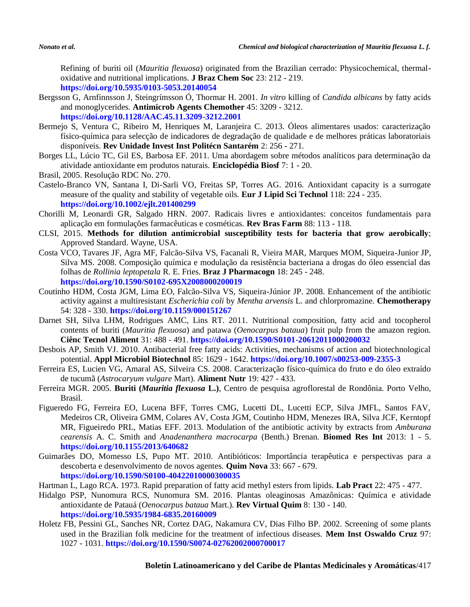Refining of buriti oil (*Mauritia flexuosa*) originated from the Brazilian cerrado: Physicochemical, thermaloxidative and nutritional implications. **J Braz Chem Soc** 23: 212 - 219. **<https://doi.org/10.5935/0103-5053.20140054>**

- Bergsson G, Arnfinnsson J, Steingrímsson Ó, Thormar H. 2001. *In vitro* killing of *Candida albicans* by fatty acids and monoglycerides. **Antimicrob Agents Chemother** 45: 3209 - 3212. **<https://doi.org/10.1128/AAC.45.11.3209-3212.2001>**
- Bermejo S, Ventura C, Ribeiro M, Henriques M, Laranjeira C. 2013. Óleos alimentares usados: caracterização físico-química para selecção de indicadores de degradação de qualidade e de melhores práticas laboratoriais disponíveis. **Rev Unidade Invest Inst Politécn Santarém** 2: 256 - 271.
- Borges LL, Lúcio TC, Gil ES, Barbosa EF. 2011. Uma abordagem sobre métodos analíticos para determinação da atividade antioxidante em produtos naturais. **Enciclopédia Biosf** 7: 1 - 20.
- Brasil, 2005. Resolução RDC No. 270.
- Castelo-Branco VN, Santana I, Di-Sarli VO, Freitas SP, Torres AG. 2016. Antioxidant capacity is a surrogate measure of the quality and stability of vegetable oils. **Eur J Lipid Sci Technol** 118: 224 - 235. **<https://doi.org/10.1002/ejlt.201400299>**
- Chorilli M, Leonardi GR, Salgado HRN. 2007. Radicais livres e antioxidantes: conceitos fundamentais para aplicação em formulações farmacêuticas e cosméticas. **Rev Bras Farm** 88: 113 - 118.
- CLSI, 2015. **Methods for dilution antimicrobial susceptibility tests for bacteria that grow aerobically**; Approved Standard. Wayne, USA.
- Costa VCO, Tavares JF, Agra MF, Falcão-Silva VS, Facanali R, Vieira MAR, Marques MOM, Siqueira-Junior JP, Silva MS. 2008. Composição química e modulação da resistência bacteriana a drogas do óleo essencial das folhas de *Rollinia leptopetala* R. E. Fries. **Braz J Pharmacogn** 18: 245 - 248. **<https://doi.org/10.1590/S0102-695X2008000200019>**
- Coutinho HDM, Costa JGM, Lima EO, Falcão-Silva VS, Siqueira-Júnior JP. 2008. Enhancement of the antibiotic activity against a multiresistant *Escherichia coli* by *Mentha arvensis* L. and chlorpromazine. **Chemotherapy** 54: 328 - 330. **<https://doi.org/10.1159/000151267>**
- Darnet SH, Silva LHM, Rodrigues AMC, Lins RT. 2011. Nutritional composition, fatty acid and tocopherol contents of buriti (*Mauritia flexuosa*) and patawa (*Oenocarpus bataua*) fruit pulp from the amazon region. **Ciênc Tecnol Aliment** 31: 488 - 491. **<https://doi.org/10.1590/S0101-20612011000200032>**
- Desbois AP, Smith VJ. 2010. Antibacterial free fatty acids: Activities, mechanisms of action and biotechnological potential. **Appl Microbiol Biotechnol** 85: 1629 - 1642. **<https://doi.org/10.1007/s00253-009-2355-3>**
- Ferreira ES, Lucien VG, Amaral AS, Silveira CS. 2008. Caracterização físico-química do fruto e do óleo extraído de tucumã (*Astrocaryum vulgare* Mart). **Aliment Nutr** 19: 427 - 433.
- Ferreira MGR. 2005. **Buriti (***Mauritia flexuosa* **L.)**, Centro de pesquisa agroflorestal de Rondônia. Porto Velho, Brasil.
- Figueredo FG, Ferreira EO, Lucena BFF, Torres CMG, Lucetti DL, Lucetti ECP, Silva JMFL, Santos FAV, Medeiros CR, Oliveira GMM, Colares AV, Costa JGM, Coutinho HDM, Menezes IRA, Silva JCF, Kerntopf MR, Figueiredo PRL, Matias EFF. 2013. Modulation of the antibiotic activity by extracts from *Amburana cearensis* A. C. Smith and *Anadenanthera macrocarpa* (Benth.) Brenan. **Biomed Res Int** 2013: 1 - 5. **<https://doi.org/10.1155/2013/640682>**
- Guimarães DO, Momesso LS, Pupo MT. 2010. Antibióticos: Importância terapêutica e perspectivas para a descoberta e desenvolvimento de novos agentes. **Quim Nova** 33: 667 - 679. **<https://doi.org/10.1590/S0100-40422010000300035>**
- Hartman L, Lago RCA. 1973. Rapid preparation of fatty acid methyl esters from lipids. **Lab Pract** 22: 475 477.
- Hidalgo PSP, Nunomura RCS, Nunomura SM. 2016. Plantas oleaginosas Amazônicas: Química e atividade antioxidante de Patauá (*Oenocarpus bataua* Mart.). **Rev Virtual Quim** 8: 130 - 140. **<https://doi.org/10.5935/1984-6835.20160009>**
- Holetz FB, Pessini GL, Sanches NR, Cortez DAG, Nakamura CV, Dias Filho BP. 2002. Screening of some plants used in the Brazilian folk medicine for the treatment of infectious diseases. **Mem Inst Oswaldo Cruz** 97: 1027 - 1031. **<https://doi.org/10.1590/S0074-02762002000700017>**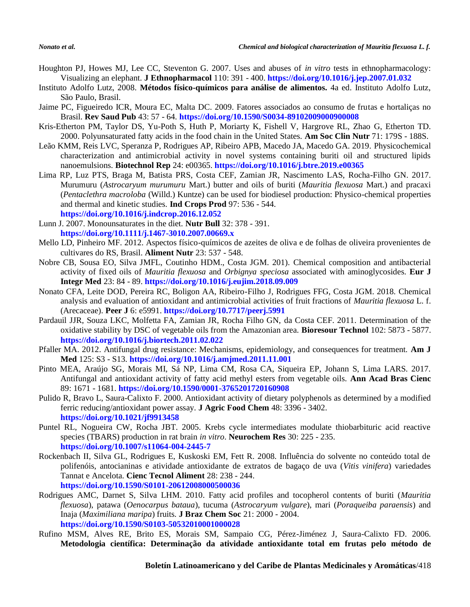- Houghton PJ, Howes MJ, Lee CC, Steventon G. 2007. Uses and abuses of *in vitro* tests in ethnopharmacology: Visualizing an elephant. **J Ethnopharmacol** 110: 391 - 400. **<https://doi.org/10.1016/j.jep.2007.01.032>**
- Instituto Adolfo Lutz, 2008. **Métodos físico-químicos para análise de alimentos.** 4a ed. Instituto Adolfo Lutz, São Paulo, Brasil.
- Jaime PC, Figueiredo ICR, Moura EC, Malta DC. 2009. Fatores associados ao consumo de frutas e hortaliças no Brasil. **Rev Saud Pub** 43: 57 - 64. **<https://doi.org/10.1590/S0034-89102009000900008>**
- Kris-Etherton PM, Taylor DS, Yu-Poth S, Huth P, Moriarty K, Fishell V, Hargrove RL, Zhao G, Etherton TD. 2000. Polyunsaturated fatty acids in the food chain in the United States. **Am Soc Clin Nutr** 71: 179S - 188S.
- Leão KMM, Reis LVC, Speranza P, Rodrigues AP, Ribeiro APB, Macedo JA, Macedo GA. 2019. Physicochemical characterization and antimicrobial activity in novel systems containing buriti oil and structured lipids nanoemulsions. **Biotechnol Rep** 24: e00365. **<https://doi.org/10.1016/j.btre.2019.e00365>**
- Lima RP, Luz PTS, Braga M, Batista PRS, Costa CEF, Zamian JR, Nascimento LAS, Rocha-Filho GN. 2017. Murumuru (*Astrocaryum murumuru* Mart.) butter and oils of buriti (*Mauritia flexuosa* Mart.) and pracaxi (*Pentaclethra macroloba* (Willd.) Kuntze) can be used for biodiesel production: Physico-chemical properties and thermal and kinetic studies. **Ind Crops Prod** 97: 536 - 544. **<https://doi.org/10.1016/j.indcrop.2016.12.052>**
- Lunn J. 2007. Monounsaturates in the diet. **Nutr Bull** 32: 378 391. **<https://doi.org/10.1111/j.1467-3010.2007.00669.x>**
- Mello LD, Pinheiro MF. 2012. Aspectos físico-químicos de azeites de oliva e de folhas de oliveira provenientes de cultivares do RS, Brasil. **Aliment Nutr** 23: 537 - 548.
- Nobre CB, Sousa EO, Silva JMFL, Coutinho HDM., Costa JGM. 201). Chemical composition and antibacterial activity of fixed oils of *Mauritia flexuosa* and *Orbignya speciosa* associated with aminoglycosides. **Eur J Integr Med** 23: 84 - 89. **<https://doi.org/10.1016/j.eujim.2018.09.009>**
- Nonato CFA, Leite DOD, Pereira RC, Boligon AA, Ribeiro-Filho J, Rodrigues FFG, Costa JGM. 2018. Chemical analysis and evaluation of antioxidant and antimicrobial activities of fruit fractions of *Mauritia flexuosa* L. f. (Arecaceae). **Peer J** 6: e5991. **<https://doi.org/10.7717/peerj.5991>**
- Pardauil JJR, Souza LKC, Molfetta FA, Zamian JR, Rocha Filho GN, da Costa CEF. 2011. Determination of the oxidative stability by DSC of vegetable oils from the Amazonian area. **Bioresour Technol** 102: 5873 - 5877. **<https://doi.org/10.1016/j.biortech.2011.02.022>**
- Pfaller MA. 2012. Antifungal drug resistance: Mechanisms, epidemiology, and consequences for treatment. **Am J Med** 125: S3 - S13. **<https://doi.org/10.1016/j.amjmed.2011.11.001>**
- Pinto MEA, Araújo SG, Morais MI, Sá NP, Lima CM, Rosa CA, Siqueira EP, Johann S, Lima LARS. 2017. Antifungal and antioxidant activity of fatty acid methyl esters from vegetable oils. **Ann Acad Bras Cienc** 89: 1671 - 1681. **<https://doi.org/10.1590/0001-3765201720160908>**
- Pulido R, Bravo L, Saura-Calixto F. 2000. Antioxidant activity of dietary polyphenols as determined by a modified ferric reducing/antioxidant power assay. **J Agric Food Chem** 48: 3396 - 3402. **<https://doi.org/10.1021/jf9913458>**
- Puntel RL, Nogueira CW, Rocha JBT. 2005. Krebs cycle intermediates modulate thiobarbituric acid reactive species (TBARS) production in rat brain *in vitro*. **Neurochem Res** 30: 225 - 235. **<https://doi.org/10.1007/s11064-004-2445-7>**
- Rockenbach II, Silva GL, Rodrigues E, Kuskoski EM, Fett R. 2008. Influência do solvente no conteúdo total de polifenóis, antocianinas e atividade antioxidante de extratos de bagaço de uva (*Vitis vinifera*) variedades Tannat e Ancelota. **Cienc Tecnol Aliment** 28: 238 - 244. **<https://doi.org/10.1590/S0101-20612008000500036>**
- Rodrigues AMC, Darnet S, Silva LHM. 2010. Fatty acid profiles and tocopherol contents of buriti (*Mauritia flexuosa*), patawa (*Oenocarpus bataua*), tucuma (*Astrocaryum vulgare*), mari (*Poraqueiba paraensis*) and Inaja (*Maximiliana maripa*) fruits. **J Braz Chem Soc** 21: 2000 - 2004. **<https://doi.org/10.1590/S0103-50532010001000028>**
- Rufino MSM, Alves RE, Brito ES, Morais SM, Sampaio CG, Pérez-Jiménez J, Saura-Calixto FD. 2006. **Metodologia científica: Determinação da atividade antioxidante total em frutas pelo método de**